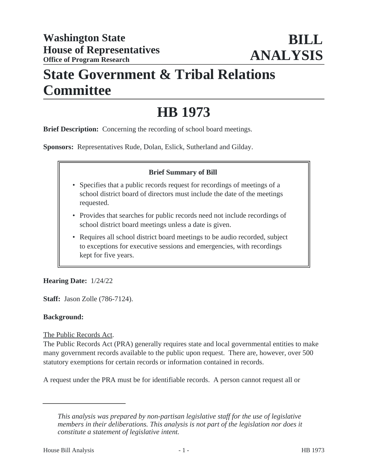## **State Government & Tribal Relations Committee**

# **HB 1973**

**Brief Description:** Concerning the recording of school board meetings.

**Sponsors:** Representatives Rude, Dolan, Eslick, Sutherland and Gilday.

### **Brief Summary of Bill**

- Specifies that a public records request for recordings of meetings of a school district board of directors must include the date of the meetings requested.
- Provides that searches for public records need not include recordings of school district board meetings unless a date is given.
- Requires all school district board meetings to be audio recorded, subject to exceptions for executive sessions and emergencies, with recordings kept for five years.

### **Hearing Date:** 1/24/22

**Staff:** Jason Zolle (786-7124).

### **Background:**

### The Public Records Act.

The Public Records Act (PRA) generally requires state and local governmental entities to make many government records available to the public upon request. There are, however, over 500 statutory exemptions for certain records or information contained in records.

A request under the PRA must be for identifiable records. A person cannot request all or

*This analysis was prepared by non-partisan legislative staff for the use of legislative members in their deliberations. This analysis is not part of the legislation nor does it constitute a statement of legislative intent.*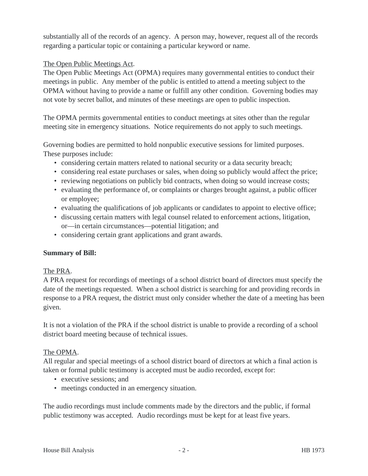substantially all of the records of an agency. A person may, however, request all of the records regarding a particular topic or containing a particular keyword or name.

### The Open Public Meetings Act.

The Open Public Meetings Act (OPMA) requires many governmental entities to conduct their meetings in public. Any member of the public is entitled to attend a meeting subject to the OPMA without having to provide a name or fulfill any other condition. Governing bodies may not vote by secret ballot, and minutes of these meetings are open to public inspection.

The OPMA permits governmental entities to conduct meetings at sites other than the regular meeting site in emergency situations. Notice requirements do not apply to such meetings.

Governing bodies are permitted to hold nonpublic executive sessions for limited purposes. These purposes include:

- considering certain matters related to national security or a data security breach;
- considering real estate purchases or sales, when doing so publicly would affect the price;
- reviewing negotiations on publicly bid contracts, when doing so would increase costs;
- evaluating the performance of, or complaints or charges brought against, a public officer or employee;
- evaluating the qualifications of job applicants or candidates to appoint to elective office;
- discussing certain matters with legal counsel related to enforcement actions, litigation, or—in certain circumstances—potential litigation; and
- considering certain grant applications and grant awards.

### **Summary of Bill:**

#### The PRA.

A PRA request for recordings of meetings of a school district board of directors must specify the date of the meetings requested. When a school district is searching for and providing records in response to a PRA request, the district must only consider whether the date of a meeting has been given.

It is not a violation of the PRA if the school district is unable to provide a recording of a school district board meeting because of technical issues.

### The OPMA.

All regular and special meetings of a school district board of directors at which a final action is taken or formal public testimony is accepted must be audio recorded, except for:

- executive sessions: and
- meetings conducted in an emergency situation.

The audio recordings must include comments made by the directors and the public, if formal public testimony was accepted. Audio recordings must be kept for at least five years.